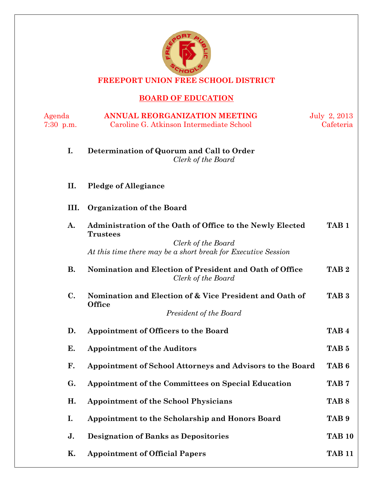

**FREEPORT UNION FREE SCHOOL DISTRICT** 

# **BOARD OF EDUCATION**

| Agenda<br>$7:30$ p.m. | <b>ANNUAL REORGANIZATION MEETING</b><br>Caroline G. Atkinson Intermediate School    | July 2, 2013<br>Cafeteria |
|-----------------------|-------------------------------------------------------------------------------------|---------------------------|
|                       |                                                                                     |                           |
| I.                    | Determination of Quorum and Call to Order<br>Clerk of the Board                     |                           |
| II.                   | <b>Pledge of Allegiance</b>                                                         |                           |
| III.                  | <b>Organization of the Board</b>                                                    |                           |
| A.                    | Administration of the Oath of Office to the Newly Elected<br><b>Trustees</b>        | TAB <sub>1</sub>          |
|                       | Clerk of the Board<br>At this time there may be a short break for Executive Session |                           |
| <b>B.</b>             | Nomination and Election of President and Oath of Office<br>Clerk of the Board       | TAB <sub>2</sub>          |
| $\mathbf{C}$ .        | Nomination and Election of & Vice President and Oath of<br><b>Office</b>            | TAB <sub>3</sub>          |
|                       | President of the Board                                                              |                           |
| D.                    | <b>Appointment of Officers to the Board</b>                                         | TAB <sub>4</sub>          |
| Е.                    | <b>Appointment of the Auditors</b>                                                  | TAB <sub>5</sub>          |
| F.                    | Appointment of School Attorneys and Advisors to the Board                           | TAB <sub>6</sub>          |
| G.                    | <b>Appointment of the Committees on Special Education</b>                           | TAB <sub>7</sub>          |
| Н.                    | <b>Appointment of the School Physicians</b>                                         | TAB <sub>8</sub>          |
| I.                    | Appointment to the Scholarship and Honors Board                                     | TAB <sub>9</sub>          |
| J.                    | <b>Designation of Banks as Depositories</b>                                         | <b>TAB 10</b>             |
| Κ.                    | <b>Appointment of Official Papers</b>                                               | <b>TAB 11</b>             |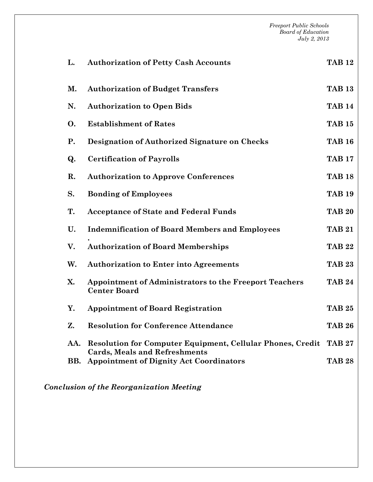*Freeport Public Schools Board of Education July 2, 2013*  **L. Authorization of Petty Cash Accounts TAB 12 M. Authorization of Budget Transfers TAB 13 N. Authorization to Open Bids TAB 14 O. Establishment of Rates TAB 15 P. Designation of Authorized Signature on Checks TAB 16 Q. Certification of Payrolls TAB 17 R. Authorization to Approve Conferences TAB 18 S. Bonding of Employees TAB 19 T. Acceptance of State and Federal Funds TAB 20 U. Indemnification of Board Members and Employees . TAB 21 V. Authorization of Board Memberships TAB 22 W. Authorization to Enter into Agreements TAB 23 X. Appointment of Administrators to the Freeport Teachers Center Board TAB 24 Y. Appointment of Board Registration TAB 25 Z. Resolution for Conference Attendance TAB 26 AA. Resolution for Computer Equipment, Cellular Phones, Credit TAB 27 Cards, Meals and Refreshments BB. Appointment of Dignity Act Coordinators TAB 28** 

*Conclusion of the Reorganization Meeting*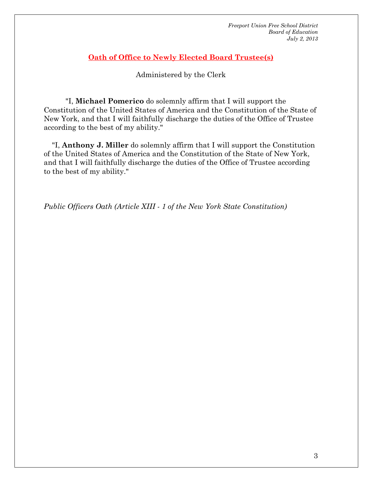### **Oath of Office to Newly Elected Board Trustee(s)**

Administered by the Clerk

 "I, **Michael Pomerico** do solemnly affirm that I will support the Constitution of the United States of America and the Constitution of the State of New York, and that I will faithfully discharge the duties of the Office of Trustee according to the best of my ability."

 "I, **Anthony J. Miller** do solemnly affirm that I will support the Constitution of the United States of America and the Constitution of the State of New York, and that I will faithfully discharge the duties of the Office of Trustee according to the best of my ability."

*Public Officers Oath (Article XIII - 1 of the New York State Constitution)*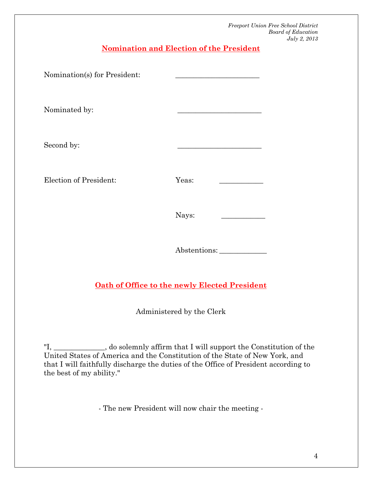**Nomination and Election of the President** 

| Nomination(s) for President: |       |  |
|------------------------------|-------|--|
| Nominated by:                |       |  |
| Second by:                   |       |  |
| Election of President:       | Yeas: |  |
|                              | Nays: |  |
|                              |       |  |

Abstentions: \_\_\_\_\_\_\_\_\_\_\_\_\_

### **Oath of Office to the newly Elected President**

Administered by the Clerk

"I, \_\_\_\_\_\_\_\_\_\_\_\_\_\_, do solemnly affirm that I will support the Constitution of the United States of America and the Constitution of the State of New York, and that I will faithfully discharge the duties of the Office of President according to the best of my ability."

- The new President will now chair the meeting -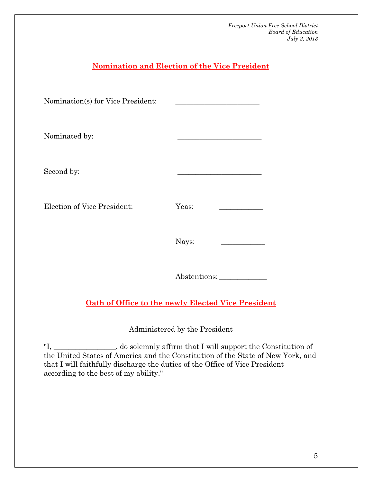# **Nomination and Election of the Vice President**  Nomination(s) for Vice President: Nominated by: Second by: Election of Vice President: Yeas: Nays: \_\_\_\_\_\_\_\_\_\_\_\_ Abstentions: \_\_\_\_\_\_\_\_\_\_\_\_\_ **Oath of Office to the newly Elected Vice President**  Administered by the President

"I, \_\_\_\_\_\_*\_\_\_\_\_\_\_\_\_\_\_*, do solemnly affirm that I will support the Constitution of the United States of America and the Constitution of the State of New York, and that I will faithfully discharge the duties of the Office of Vice President according to the best of my ability."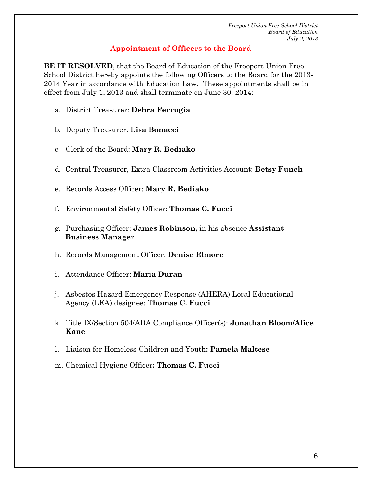### **Appointment of Officers to the Board**

**BE IT RESOLVED**, that the Board of Education of the Freeport Union Free School District hereby appoints the following Officers to the Board for the 2013- 2014 Year in accordance with Education Law. These appointments shall be in effect from July 1, 2013 and shall terminate on June 30, 2014:

- a. District Treasurer: **Debra Ferrugia**
- b. Deputy Treasurer: **Lisa Bonacci**
- c. Clerk of the Board: **Mary R. Bediako**
- d. Central Treasurer, Extra Classroom Activities Account: **Betsy Funch**
- e. Records Access Officer: **Mary R. Bediako**
- f. Environmental Safety Officer: **Thomas C. Fucci**
- g. Purchasing Officer: **James Robinson,** in his absence **Assistant Business Manager**
- h. Records Management Officer: **Denise Elmore**
- i. Attendance Officer: **Maria Duran**
- j. Asbestos Hazard Emergency Response (AHERA) Local Educational Agency (LEA) designee: **Thomas C. Fucci**
- k. Title IX/Section 504/ADA Compliance Officer(s): **Jonathan Bloom/Alice Kane**
- l. Liaison for Homeless Children and Youth**: Pamela Maltese**
- m.Chemical Hygiene Officer**: Thomas C. Fucci**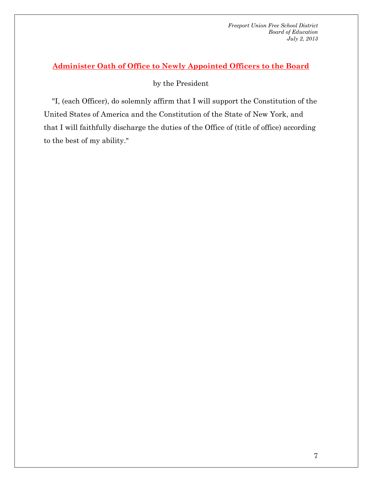### **Administer Oath of Office to Newly Appointed Officers to the Board**

by the President

 "I, (each Officer), do solemnly affirm that I will support the Constitution of the United States of America and the Constitution of the State of New York, and that I will faithfully discharge the duties of the Office of (title of office) according to the best of my ability."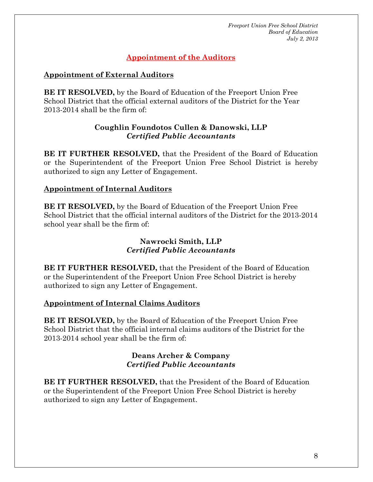### **Appointment of the Auditors**

### **Appointment of External Auditors**

**BE IT RESOLVED,** by the Board of Education of the Freeport Union Free School District that the official external auditors of the District for the Year 2013-2014 shall be the firm of:

### **Coughlin Foundotos Cullen & Danowski, LLP**  *Certified Public Accountants*

**BE IT FURTHER RESOLVED,** that the President of the Board of Education or the Superintendent of the Freeport Union Free School District is hereby authorized to sign any Letter of Engagement.

### **Appointment of Internal Auditors**

**BE IT RESOLVED,** by the Board of Education of the Freeport Union Free School District that the official internal auditors of the District for the 2013-2014 school year shall be the firm of:

### **Nawrocki Smith, LLP**  *Certified Public Accountants*

**BE IT FURTHER RESOLVED,** that the President of the Board of Education or the Superintendent of the Freeport Union Free School District is hereby authorized to sign any Letter of Engagement.

### **Appointment of Internal Claims Auditors**

**BE IT RESOLVED,** by the Board of Education of the Freeport Union Free School District that the official internal claims auditors of the District for the 2013-2014 school year shall be the firm of:

### **Deans Archer & Company**  *Certified Public Accountants*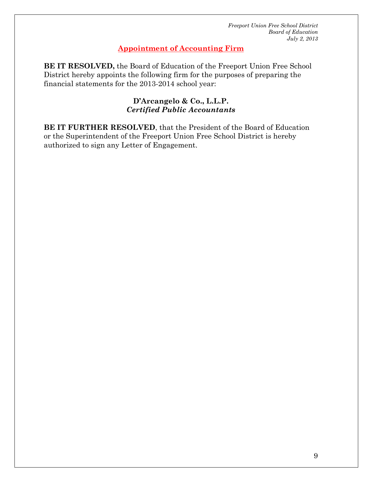### **Appointment of Accounting Firm**

**BE IT RESOLVED,** the Board of Education of the Freeport Union Free School District hereby appoints the following firm for the purposes of preparing the financial statements for the 2013-2014 school year:

### **D'Arcangelo & Co., L.L.P.** *Certified Public Accountants*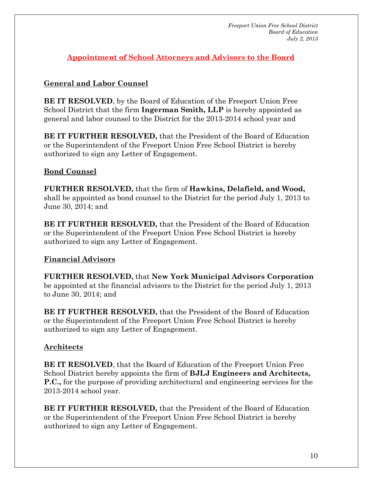**Appointment of School Attorneys and Advisors to the Board** 

### **General and Labor Counsel**

**BE IT RESOLVED**, by the Board of Education of the Freeport Union Free School District that the firm **Ingerman Smith, LLP** is hereby appointed as general and labor counsel to the District for the 2013-2014 school year and

**BE IT FURTHER RESOLVED,** that the President of the Board of Education or the Superintendent of the Freeport Union Free School District is hereby authorized to sign any Letter of Engagement.

### **Bond Counsel**

**FURTHER RESOLVED,** that the firm of **Hawkins, Delafield, and Wood,** shall be appointed as bond counsel to the District for the period July 1, 2013 to June 30, 2014; and

**BE IT FURTHER RESOLVED,** that the President of the Board of Education or the Superintendent of the Freeport Union Free School District is hereby authorized to sign any Letter of Engagement.

### **Financial Advisors**

**FURTHER RESOLVED,** that **New York Municipal Advisors Corporation** be appointed at the financial advisors to the District for the period July 1, 2013 to June 30, 2014; and

**BE IT FURTHER RESOLVED,** that the President of the Board of Education or the Superintendent of the Freeport Union Free School District is hereby authorized to sign any Letter of Engagement.

### **Architects**

**BE IT RESOLVED**, that the Board of Education of the Freeport Union Free School District hereby appoints the firm of **BJLJ Engineers and Architects, P.C.,** for the purpose of providing architectural and engineering services for the 2013-2014 school year.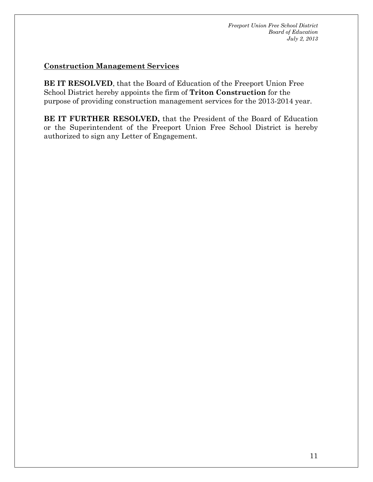### **Construction Management Services**

**BE IT RESOLVED**, that the Board of Education of the Freeport Union Free School District hereby appoints the firm of **Triton Construction** for the purpose of providing construction management services for the 2013-2014 year.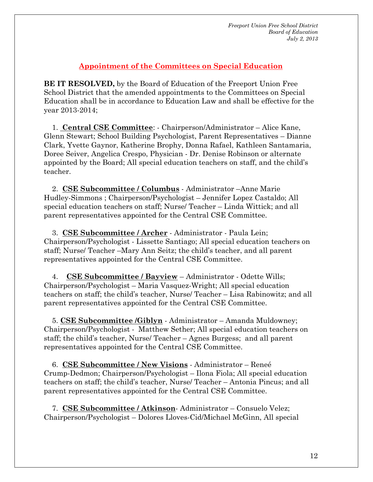### **Appointment of the Committees on Special Education**

**BE IT RESOLVED,** by the Board of Education of the Freeport Union Free School District that the amended appointments to the Committees on Special Education shall be in accordance to Education Law and shall be effective for the year 2013-2014;

 1. **Central CSE Committee**: - Chairperson/Administrator – Alice Kane, Glenn Stewart; School Building Psychologist, Parent Representatives – Dianne Clark, Yvette Gaynor, Katherine Brophy, Donna Rafael, Kathleen Santamaria, Doree Seiver, Angelica Crespo, Physician - Dr. Denise Robinson or alternate appointed by the Board; All special education teachers on staff, and the child's teacher.

 2. **CSE Subcommittee / Columbus** - Administrator –Anne Marie Hudley-Simmons ; Chairperson/Psychologist – Jennifer Lopez Castaldo; All special education teachers on staff; Nurse/ Teacher – Linda Wittick; and all parent representatives appointed for the Central CSE Committee.

 3. **CSE Subcommittee / Archer** - Administrator - Paula Lein; Chairperson/Psychologist - Lissette Santiago; All special education teachers on staff; Nurse/ Teacher –Mary Ann Seitz; the child's teacher, and all parent representatives appointed for the Central CSE Committee.

 4. **CSE Subcommittee / Bayview** – Administrator - Odette Wills; Chairperson/Psychologist – Maria Vasquez-Wright; All special education teachers on staff; the child's teacher, Nurse/ Teacher – Lisa Rabinowitz; and all parent representatives appointed for the Central CSE Committee.

 5. **CSE Subcommittee /Giblyn** - Administrator – Amanda Muldowney; Chairperson/Psychologist - Matthew Sether; All special education teachers on staff; the child's teacher, Nurse/ Teacher – Agnes Burgess; and all parent representatives appointed for the Central CSE Committee.

 6. **CSE Subcommittee / New Visions** - Administrator – Reneé Crump-Dedmon; Chairperson/Psychologist – Ilona Fiola; All special education teachers on staff; the child's teacher, Nurse/ Teacher – Antonia Pincus; and all parent representatives appointed for the Central CSE Committee.

 7. **CSE Subcommittee / Atkinson**- Administrator – Consuelo Velez; Chairperson/Psychologist – Dolores Lloves-Cid/Michael McGinn, All special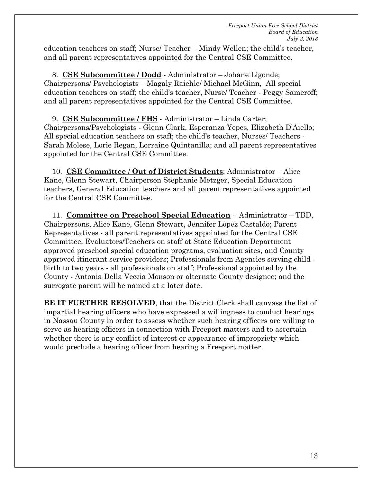education teachers on staff; Nurse/ Teacher – Mindy Wellen; the child's teacher, and all parent representatives appointed for the Central CSE Committee.

 8. **CSE Subcommittee / Dodd** - Administrator – Johane Ligonde; Chairpersons/ Psychologists – Magaly Raiehle/ Michael McGinn, All special education teachers on staff; the child's teacher, Nurse/ Teacher - Peggy Sameroff; and all parent representatives appointed for the Central CSE Committee.

 9. **CSE Subcommittee / FHS** - Administrator – Linda Carter; Chairpersons/Psychologists - Glenn Clark, Esperanza Yepes, Elizabeth D'Aiello; All special education teachers on staff; the child's teacher, Nurses/ Teachers - Sarah Molese, Lorie Regan, Lorraine Quintanilla; and all parent representatives appointed for the Central CSE Committee.

 10. **CSE Committee** / **Out of District Students**; Administrator – Alice Kane, Glenn Stewart, Chairperson Stephanie Metzger, Special Education teachers, General Education teachers and all parent representatives appointed for the Central CSE Committee.

 11. **Committee on Preschool Special Education** - Administrator – TBD, Chairpersons, Alice Kane, Glenn Stewart, Jennifer Lopez Castaldo; Parent Representatives - all parent representatives appointed for the Central CSE Committee, Evaluators/Teachers on staff at State Education Department approved preschool special education programs, evaluation sites, and County approved itinerant service providers; Professionals from Agencies serving child birth to two years - all professionals on staff; Professional appointed by the County - Antonia Della Veccia Monson or alternate County designee; and the surrogate parent will be named at a later date.

**BE IT FURTHER RESOLVED**, that the District Clerk shall canvass the list of impartial hearing officers who have expressed a willingness to conduct hearings in Nassau County in order to assess whether such hearing officers are willing to serve as hearing officers in connection with Freeport matters and to ascertain whether there is any conflict of interest or appearance of impropriety which would preclude a hearing officer from hearing a Freeport matter.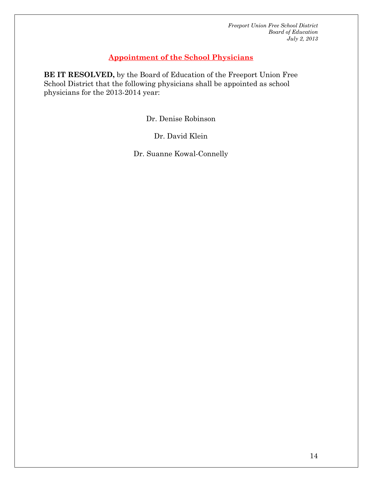### **Appointment of the School Physicians**

**BE IT RESOLVED,** by the Board of Education of the Freeport Union Free School District that the following physicians shall be appointed as school physicians for the 2013-2014 year:

Dr. Denise Robinson

Dr. David Klein

Dr. Suanne Kowal-Connelly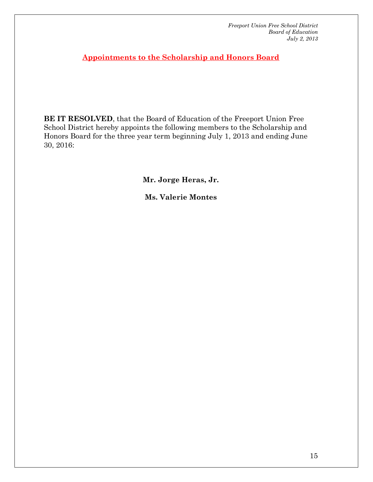**Appointments to the Scholarship and Honors Board** 

**BE IT RESOLVED**, that the Board of Education of the Freeport Union Free School District hereby appoints the following members to the Scholarship and Honors Board for the three year term beginning July 1, 2013 and ending June 30, 2016:

**Mr. Jorge Heras, Jr.** 

**Ms. Valerie Montes**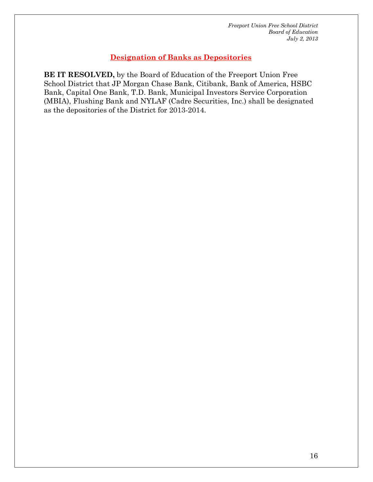### **Designation of Banks as Depositories**

**BE IT RESOLVED,** by the Board of Education of the Freeport Union Free School District that JP Morgan Chase Bank, Citibank, Bank of America, HSBC Bank, Capital One Bank, T.D. Bank, Municipal Investors Service Corporation (MBIA), Flushing Bank and NYLAF (Cadre Securities, Inc.) shall be designated as the depositories of the District for 2013-2014.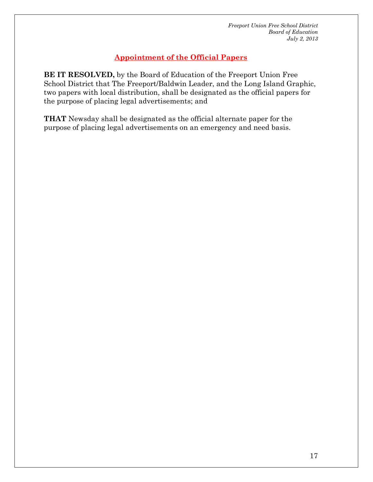### **Appointment of the Official Papers**

**BE IT RESOLVED,** by the Board of Education of the Freeport Union Free School District that The Freeport/Baldwin Leader, and the Long Island Graphic, two papers with local distribution, shall be designated as the official papers for the purpose of placing legal advertisements; and

**THAT** Newsday shall be designated as the official alternate paper for the purpose of placing legal advertisements on an emergency and need basis.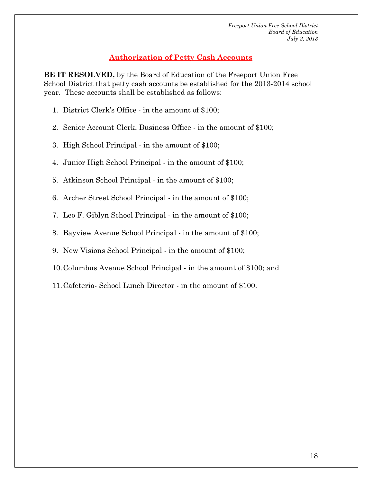### **Authorization of Petty Cash Accounts**

**BE IT RESOLVED,** by the Board of Education of the Freeport Union Free School District that petty cash accounts be established for the 2013-2014 school year. These accounts shall be established as follows:

- 1. District Clerk's Office in the amount of \$100;
- 2. Senior Account Clerk, Business Office in the amount of \$100;
- 3. High School Principal in the amount of \$100;
- 4. Junior High School Principal in the amount of \$100;
- 5. Atkinson School Principal in the amount of \$100;
- 6. Archer Street School Principal in the amount of \$100;
- 7. Leo F. Giblyn School Principal in the amount of \$100;
- 8. Bayview Avenue School Principal in the amount of \$100;
- 9. New Visions School Principal in the amount of \$100;
- 10.Columbus Avenue School Principal in the amount of \$100; and
- 11.Cafeteria- School Lunch Director in the amount of \$100.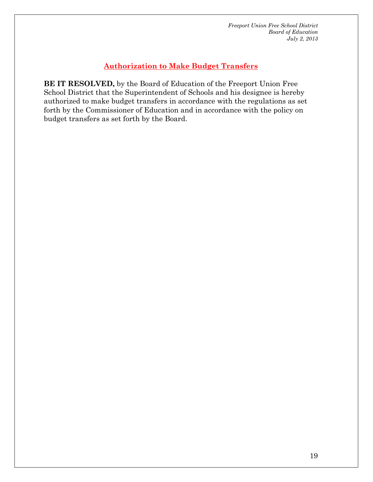### **Authorization to Make Budget Transfers**

**BE IT RESOLVED,** by the Board of Education of the Freeport Union Free School District that the Superintendent of Schools and his designee is hereby authorized to make budget transfers in accordance with the regulations as set forth by the Commissioner of Education and in accordance with the policy on budget transfers as set forth by the Board.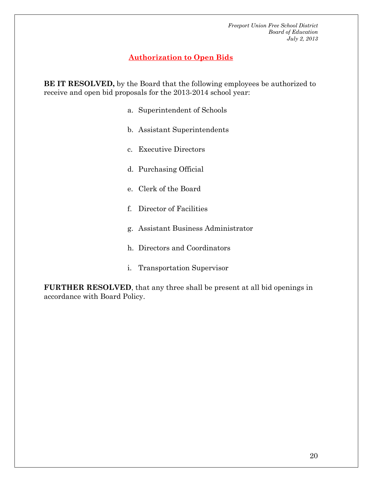### **Authorization to Open Bids**

**BE IT RESOLVED,** by the Board that the following employees be authorized to receive and open bid proposals for the 2013-2014 school year:

- a. Superintendent of Schools
- b. Assistant Superintendents
- c. Executive Directors
- d. Purchasing Official
- e. Clerk of the Board
- f. Director of Facilities
- g. Assistant Business Administrator
- h. Directors and Coordinators
- i. Transportation Supervisor

**FURTHER RESOLVED**, that any three shall be present at all bid openings in accordance with Board Policy.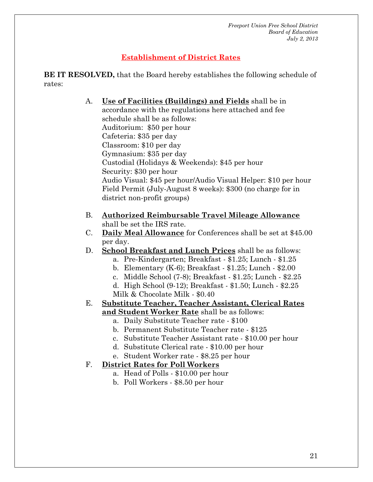### **Establishment of District Rates**

**BE IT RESOLVED,** that the Board hereby establishes the following schedule of rates:

> A. **Use of Facilities (Buildings) and Fields** shall be in accordance with the regulations here attached and fee schedule shall be as follows: Auditorium: \$50 per hour Cafeteria: \$35 per day Classroom: \$10 per day Gymnasium: \$35 per day Custodial (Holidays & Weekends): \$45 per hour Security: \$30 per hour Audio Visual: \$45 per hour/Audio Visual Helper: \$10 per hour Field Permit (July-August 8 weeks): \$300 (no charge for in district non-profit groups)

- B. **Authorized Reimbursable Travel Mileage Allowance** shall be set the IRS rate.
- C. **Daily Meal Allowance** for Conferences shall be set at \$45.00 per day.
- D. **School Breakfast and Lunch Prices** shall be as follows:
	- a. Pre-Kindergarten; Breakfast \$1.25; Lunch \$1.25
	- b. Elementary (K-6); Breakfast \$1.25; Lunch \$2.00
	- c. Middle School (7-8); Breakfast \$1.25; Lunch \$2.25
	- d. High School (9-12); Breakfast \$1.50; Lunch \$2.25 Milk & Chocolate Milk - \$0.40
- E. **Substitute Teacher, Teacher Assistant, Clerical Rates and Student Worker Rate** shall be as follows:
	- a. Daily Substitute Teacher rate \$100
	- b. Permanent Substitute Teacher rate \$125
	- c. Substitute Teacher Assistant rate \$10.00 per hour
	- d. Substitute Clerical rate \$10.00 per hour
	- e. Student Worker rate \$8.25 per hour

### F. **District Rates for Poll Workers**

- a. Head of Polls \$10.00 per hour
- b. Poll Workers \$8.50 per hour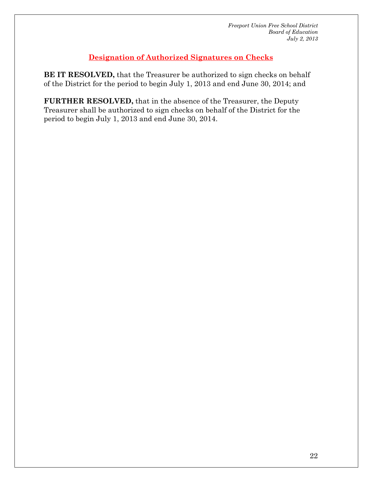### **Designation of Authorized Signatures on Checks**

**BE IT RESOLVED,** that the Treasurer be authorized to sign checks on behalf of the District for the period to begin July 1, 2013 and end June 30, 2014; and

**FURTHER RESOLVED,** that in the absence of the Treasurer, the Deputy Treasurer shall be authorized to sign checks on behalf of the District for the period to begin July 1, 2013 and end June 30, 2014.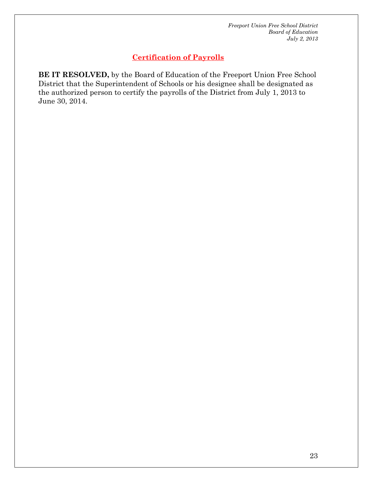### **Certification of Payrolls**

**BE IT RESOLVED,** by the Board of Education of the Freeport Union Free School District that the Superintendent of Schools or his designee shall be designated as the authorized person to certify the payrolls of the District from July 1, 2013 to June 30, 2014.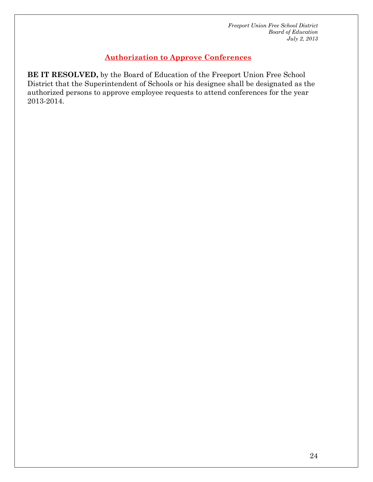### **Authorization to Approve Conferences**

**BE IT RESOLVED,** by the Board of Education of the Freeport Union Free School District that the Superintendent of Schools or his designee shall be designated as the authorized persons to approve employee requests to attend conferences for the year 2013-2014.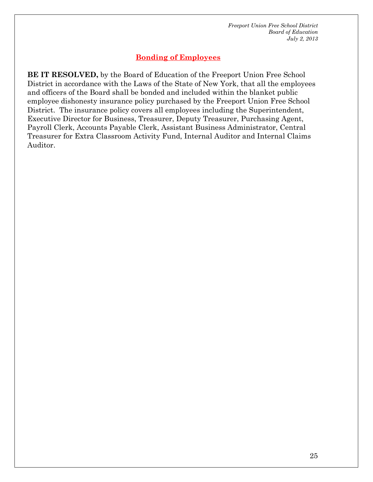### **Bonding of Employees**

**BE IT RESOLVED,** by the Board of Education of the Freeport Union Free School District in accordance with the Laws of the State of New York, that all the employees and officers of the Board shall be bonded and included within the blanket public employee dishonesty insurance policy purchased by the Freeport Union Free School District. The insurance policy covers all employees including the Superintendent, Executive Director for Business, Treasurer, Deputy Treasurer, Purchasing Agent, Payroll Clerk, Accounts Payable Clerk, Assistant Business Administrator, Central Treasurer for Extra Classroom Activity Fund, Internal Auditor and Internal Claims Auditor.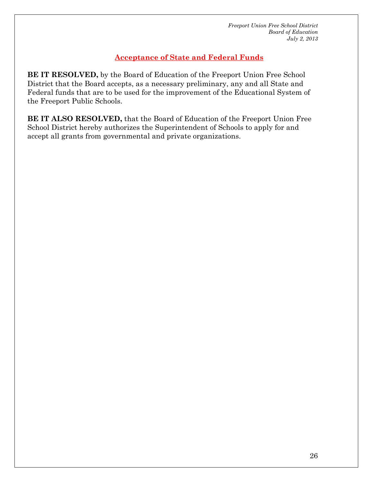### **Acceptance of State and Federal Funds**

**BE IT RESOLVED,** by the Board of Education of the Freeport Union Free School District that the Board accepts, as a necessary preliminary, any and all State and Federal funds that are to be used for the improvement of the Educational System of the Freeport Public Schools.

**BE IT ALSO RESOLVED,** that the Board of Education of the Freeport Union Free School District hereby authorizes the Superintendent of Schools to apply for and accept all grants from governmental and private organizations.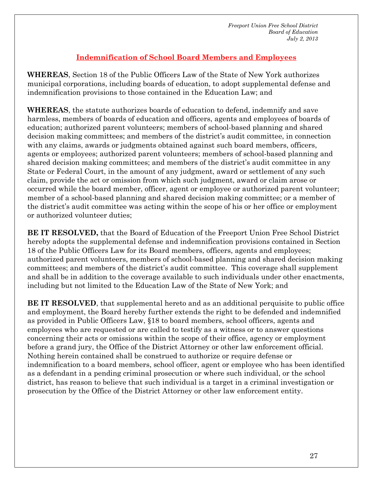### **Indemnification of School Board Members and Employees**

**WHEREAS**, Section 18 of the Public Officers Law of the State of New York authorizes municipal corporations, including boards of education, to adopt supplemental defense and indemnification provisions to those contained in the Education Law; and

**WHEREAS**, the statute authorizes boards of education to defend, indemnify and save harmless, members of boards of education and officers, agents and employees of boards of education; authorized parent volunteers; members of school-based planning and shared decision making committees; and members of the district's audit committee, in connection with any claims, awards or judgments obtained against such board members, officers, agents or employees; authorized parent volunteers; members of school-based planning and shared decision making committees; and members of the district's audit committee in any State or Federal Court, in the amount of any judgment, award or settlement of any such claim, provide the act or omission from which such judgment, award or claim arose or occurred while the board member, officer, agent or employee or authorized parent volunteer; member of a school-based planning and shared decision making committee; or a member of the district's audit committee was acting within the scope of his or her office or employment or authorized volunteer duties;

**BE IT RESOLVED,** that the Board of Education of the Freeport Union Free School District hereby adopts the supplemental defense and indemnification provisions contained in Section 18 of the Public Officers Law for its Board members, officers, agents and employees; authorized parent volunteers, members of school-based planning and shared decision making committees; and members of the district's audit committee. This coverage shall supplement and shall be in addition to the coverage available to such individuals under other enactments, including but not limited to the Education Law of the State of New York; and

**BE IT RESOLVED**, that supplemental hereto and as an additional perquisite to public office and employment, the Board hereby further extends the right to be defended and indemnified as provided in Public Officers Law, §18 to board members, school officers, agents and employees who are requested or are called to testify as a witness or to answer questions concerning their acts or omissions within the scope of their office, agency or employment before a grand jury, the Office of the District Attorney or other law enforcement official. Nothing herein contained shall be construed to authorize or require defense or indemnification to a board members, school officer, agent or employee who has been identified as a defendant in a pending criminal prosecution or where such individual, or the school district, has reason to believe that such individual is a target in a criminal investigation or prosecution by the Office of the District Attorney or other law enforcement entity.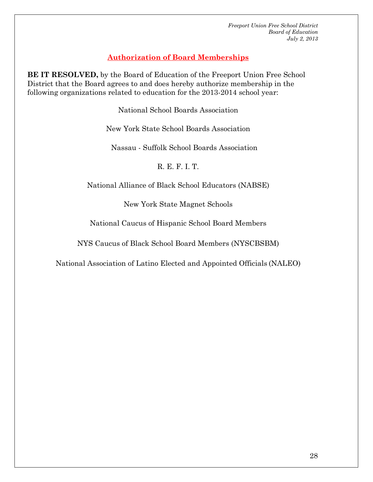### **Authorization of Board Memberships**

**BE IT RESOLVED,** by the Board of Education of the Freeport Union Free School District that the Board agrees to and does hereby authorize membership in the following organizations related to education for the 2013-2014 school year:

National School Boards Association

New York State School Boards Association

Nassau - Suffolk School Boards Association

R. E. F. I. T.

National Alliance of Black School Educators (NABSE)

New York State Magnet Schools

National Caucus of Hispanic School Board Members

NYS Caucus of Black School Board Members (NYSCBSBM)

National Association of Latino Elected and Appointed Officials (NALEO)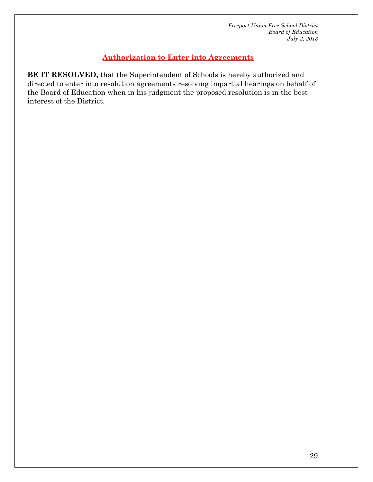### **Authorization to Enter into Agreements**

**BE IT RESOLVED,** that the Superintendent of Schools is hereby authorized and directed to enter into resolution agreements resolving impartial hearings on behalf of the Board of Education when in his judgment the proposed resolution is in the best interest of the District.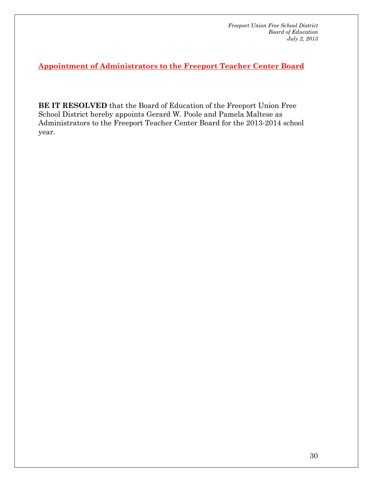**Appointment of Administrators to the Freeport Teacher Center Board** 

**BE IT RESOLVED** that the Board of Education of the Freeport Union Free School District hereby appoints Gerard W. Poole and Pamela Maltese as Administrators to the Freeport Teacher Center Board for the 2013-2014 school year.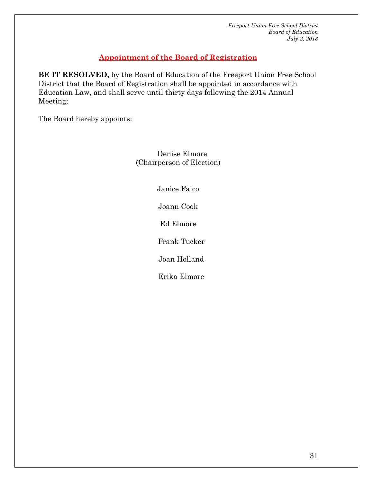### **Appointment of the Board of Registration**

**BE IT RESOLVED,** by the Board of Education of the Freeport Union Free School District that the Board of Registration shall be appointed in accordance with Education Law, and shall serve until thirty days following the 2014 Annual Meeting;

The Board hereby appoints:

 Denise Elmore (Chairperson of Election)

Janice Falco

Joann Cook

Ed Elmore

Frank Tucker

Joan Holland

Erika Elmore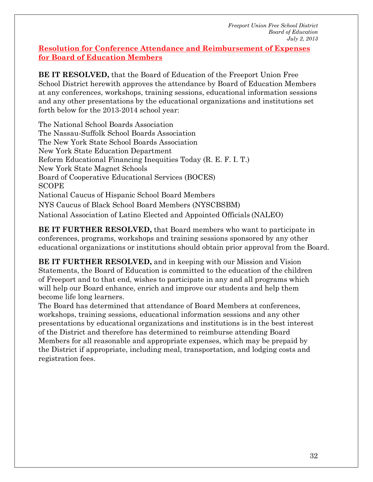### **Resolution for Conference Attendance and Reimbursement of Expenses for Board of Education Members**

**BE IT RESOLVED,** that the Board of Education of the Freeport Union Free School District herewith approves the attendance by Board of Education Members at any conferences, workshops, training sessions, educational information sessions and any other presentations by the educational organizations and institutions set forth below for the 2013-2014 school year:

The National School Boards Association The Nassau-Suffolk School Boards Association The New York State School Boards Association New York State Education Department Reform Educational Financing Inequities Today (R. E. F. I. T.) New York State Magnet Schools Board of Cooperative Educational Services (BOCES) SCOPE National Caucus of Hispanic School Board Members NYS Caucus of Black School Board Members (NYSCBSBM) National Association of Latino Elected and Appointed Officials (NALEO)

**BE IT FURTHER RESOLVED,** that Board members who want to participate in conferences, programs, workshops and training sessions sponsored by any other educational organizations or institutions should obtain prior approval from the Board.

**BE IT FURTHER RESOLVED,** and in keeping with our Mission and Vision Statements, the Board of Education is committed to the education of the children of Freeport and to that end, wishes to participate in any and all programs which will help our Board enhance, enrich and improve our students and help them become life long learners.

The Board has determined that attendance of Board Members at conferences, workshops, training sessions, educational information sessions and any other presentations by educational organizations and institutions is in the best interest of the District and therefore has determined to reimburse attending Board Members for all reasonable and appropriate expenses, which may be prepaid by the District if appropriate, including meal, transportation, and lodging costs and registration fees.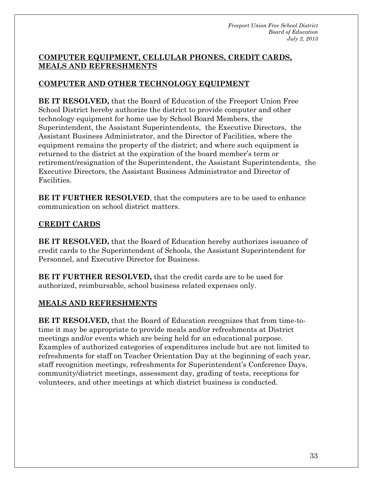### **COMPUTER EQUIPMENT, CELLULAR PHONES, CREDIT CARDS, MEALS AND REFRESHMENTS**

### **COMPUTER AND OTHER TECHNOLOGY EQUIPMENT**

**BE IT RESOLVED,** that the Board of Education of the Freeport Union Free School District hereby authorize the district to provide computer and other technology equipment for home use by School Board Members, the Superintendent, the Assistant Superintendents, the Executive Directors, the Assistant Business Administrator, and the Director of Facilities, where the equipment remains the property of the district; and where such equipment is returned to the district at the expiration of the board member's term or retirement/resignation of the Superintendent, the Assistant Superintendents, the Executive Directors, the Assistant Business Administrator and Director of Facilities.

**BE IT FURTHER RESOLVED**, that the computers are to be used to enhance communication on school district matters.

### **CREDIT CARDS**

**BE IT RESOLVED,** that the Board of Education hereby authorizes issuance of credit cards to the Superintendent of Schools, the Assistant Superintendent for Personnel, and Executive Director for Business.

**BE IT FURTHER RESOLVED,** that the credit cards are to be used for authorized, reimbursable, school business related expenses only.

### **MEALS AND REFRESHMENTS**

**BE IT RESOLVED,** that the Board of Education recognizes that from time-totime it may be appropriate to provide meals and/or refreshments at District meetings and/or events which are being held for an educational purpose. Examples of authorized categories of expenditures include but are not limited to refreshments for staff on Teacher Orientation Day at the beginning of each year, staff recognition meetings, refreshments for Superintendent's Conference Days, community/district meetings, assessment day, grading of tests, receptions for volunteers, and other meetings at which district business is conducted.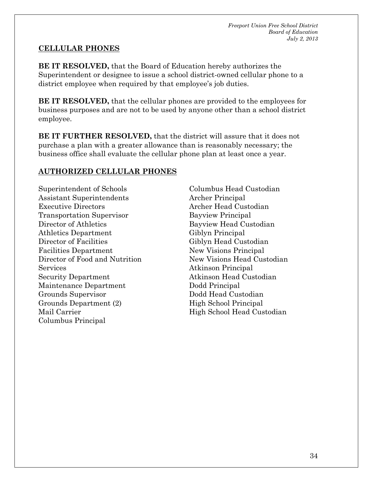### **CELLULAR PHONES**

**BE IT RESOLVED,** that the Board of Education hereby authorizes the Superintendent or designee to issue a school district-owned cellular phone to a district employee when required by that employee's job duties.

**BE IT RESOLVED,** that the cellular phones are provided to the employees for business purposes and are not to be used by anyone other than a school district employee.

**BE IT FURTHER RESOLVED,** that the district will assure that it does not purchase a plan with a greater allowance than is reasonably necessary; the business office shall evaluate the cellular phone plan at least once a year.

### **AUTHORIZED CELLULAR PHONES**

Superintendent of Schools Assistant Superintendents Executive Directors Transportation Supervisor Director of Athletics Athletics Department Director of Facilities Facilities Department Director of Food and Nutrition Services Security Department Maintenance Department Grounds Supervisor Grounds Department (2) Mail Carrier Columbus Principal

Columbus Head Custodian Archer Principal Archer Head Custodian Bayview Principal Bayview Head Custodian Giblyn Principal Giblyn Head Custodian New Visions Principal New Visions Head Custodian Atkinson Principal Atkinson Head Custodian Dodd Principal Dodd Head Custodian High School Principal High School Head Custodian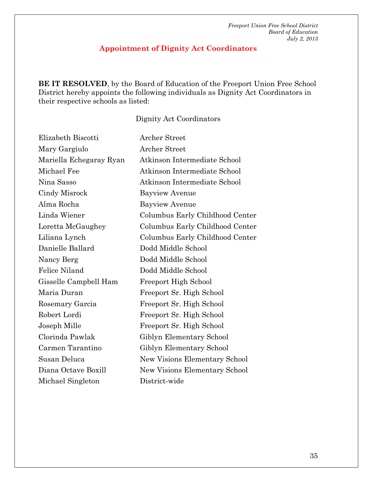### **Appointment of Dignity Act Coordinators**

**BE IT RESOLVED**, by the Board of Education of the Freeport Union Free School District hereby appoints the following individuals as Dignity Act Coordinators in their respective schools as listed:

### Dignity Act Coordinators

| Elizabeth Biscotti      | Archer Street                        |
|-------------------------|--------------------------------------|
| Mary Gargiulo           | Archer Street                        |
| Mariella Echegaray Ryan | Atkinson Intermediate School         |
| Michael Fee             | Atkinson Intermediate School         |
| Nina Sasso              | Atkinson Intermediate School         |
| Cindy Misrock           | <b>Bayview Avenue</b>                |
| Alma Rocha              | <b>Bayview Avenue</b>                |
| Linda Wiener            | Columbus Early Childhood Center      |
| Loretta McGaughey       | Columbus Early Childhood Center      |
| Liliana Lynch           | Columbus Early Childhood Center      |
| Danielle Ballard        | Dodd Middle School                   |
| Nancy Berg              | Dodd Middle School                   |
| <b>Felice Niland</b>    | Dodd Middle School                   |
| Gisselle Campbell Ham   | <b>Freeport High School</b>          |
| Maria Duran             | Freeport Sr. High School             |
| Rosemary Garcia         | Freeport Sr. High School             |
| Robert Lordi            | Freeport Sr. High School             |
| Joseph Mille            | Freeport Sr. High School             |
| Clorinda Pawlak         | Giblyn Elementary School             |
| Carmen Tarantino        | Giblyn Elementary School             |
| Susan Deluca            | New Visions Elementary School        |
| Diana Octave Boxill     | <b>New Visions Elementary School</b> |
| Michael Singleton       | District-wide                        |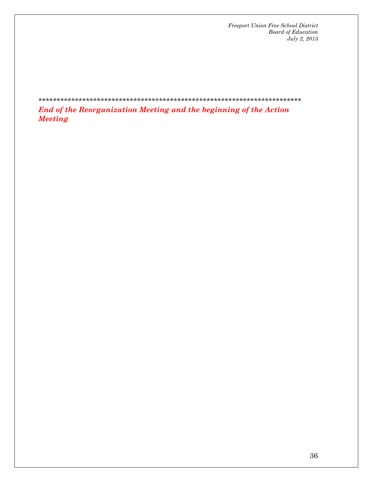### \*\*\*\*\*\*\*\*\*\*\*\*\*\*\*\*\*\*\*\*\*\*\*\*\*\*\*\*\*\*\*\*\*\*\*\*\*\*\*\*\*\*\*\*\*\*\*\*\*\*\*\*\*\*\*\*\*\*\*\*\*\*\*\*\*\*\*\*\*\*\*\*

*End of the Reorganization Meeting and the beginning of the Action Meeting*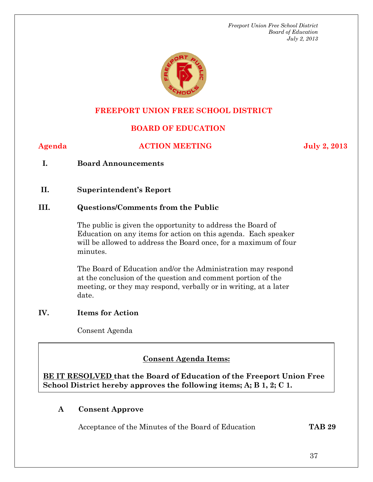

### **FREEPORT UNION FREE SCHOOL DISTRICT**

### **BOARD OF EDUCATION**

### **Agenda ACTION MEETING July 2, 2013**

**I. Board Announcements** 

**II. Superintendent's Report** 

### **III. Questions/Comments from the Public**

The public is given the opportunity to address the Board of Education on any items for action on this agenda. Each speaker will be allowed to address the Board once, for a maximum of four minutes.

The Board of Education and/or the Administration may respond at the conclusion of the question and comment portion of the meeting, or they may respond, verbally or in writing, at a later date.

### **IV. Items for Action**

Consent Agenda

### **Conservation Consent Agenda Items:**

**BE IT RESOLVED that the Board of Education of the Freeport Union Free School District hereby approves the following items; A; B 1, 2; C 1.** 

### **A Consent Approve**

Acceptance of the Minutes of the Board of Education **TAB 29**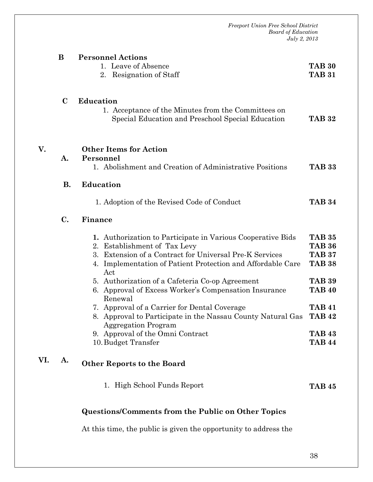|     |             | <b>Freeport Union Free School District</b><br><b>Board of Education</b><br>July 2, 2013                                                                                                                                               |                                                                  |
|-----|-------------|---------------------------------------------------------------------------------------------------------------------------------------------------------------------------------------------------------------------------------------|------------------------------------------------------------------|
|     | B           | <b>Personnel Actions</b><br>1. Leave of Absence<br>2. Resignation of Staff                                                                                                                                                            | <b>TAB 30</b><br><b>TAB 31</b>                                   |
|     | $\mathbf C$ | <b>Education</b><br>1. Acceptance of the Minutes from the Committees on<br>Special Education and Preschool Special Education                                                                                                          | <b>TAB 32</b>                                                    |
| V.  | A.          | <b>Other Items for Action</b><br>Personnel<br>1. Abolishment and Creation of Administrative Positions                                                                                                                                 | <b>TAB 33</b>                                                    |
|     | <b>B.</b>   | <b>Education</b>                                                                                                                                                                                                                      |                                                                  |
|     |             | 1. Adoption of the Revised Code of Conduct                                                                                                                                                                                            | <b>TAB 34</b>                                                    |
|     | C.          | Finance                                                                                                                                                                                                                               |                                                                  |
|     |             | 1. Authorization to Participate in Various Cooperative Bids<br>Establishment of Tax Levy<br>2.<br>Extension of a Contract for Universal Pre-K Services<br>3.<br>Implementation of Patient Protection and Affordable Care<br>4.<br>Act | <b>TAB 35</b><br><b>TAB 36</b><br><b>TAB 37</b><br><b>TAB 38</b> |
|     |             | 5. Authorization of a Cafeteria Co-op Agreement<br>6. Approval of Excess Worker's Compensation Insurance<br>Renewal                                                                                                                   | <b>TAB 39</b><br><b>TAB 40</b>                                   |
|     |             | Approval of a Carrier for Dental Coverage<br>7.<br>8. Approval to Participate in the Nassau County Natural Gas<br><b>Aggregation Program</b>                                                                                          | <b>TAB 41</b><br><b>TAB 42</b>                                   |
|     |             | 9. Approval of the Omni Contract<br>10. Budget Transfer                                                                                                                                                                               | <b>TAB 43</b><br><b>TAB 44</b>                                   |
| VI. | A.          | <b>Other Reports to the Board</b>                                                                                                                                                                                                     |                                                                  |
|     |             | 1. High School Funds Report                                                                                                                                                                                                           | <b>TAB 45</b>                                                    |

# **Questions/Comments from the Public on Other Topics**

At this time, the public is given the opportunity to address the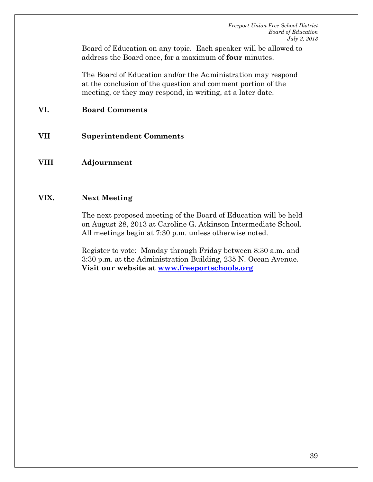Board of Education on any topic. Each speaker will be allowed to address the Board once, for a maximum of **four** minutes.

The Board of Education and/or the Administration may respond at the conclusion of the question and comment portion of the meeting, or they may respond, in writing, at a later date.

### **VI. Board Comments**

- **VII Superintendent Comments**
- **VIII Adjournment**

### **VIX. Next Meeting**

The next proposed meeting of the Board of Education will be held on August 28, 2013 at Caroline G. Atkinson Intermediate School. All meetings begin at 7:30 p.m. unless otherwise noted.

Register to vote: Monday through Friday between 8:30 a.m. and 3:30 p.m. at the Administration Building, 235 N. Ocean Avenue. **Visit our website at www.freeportschools.org**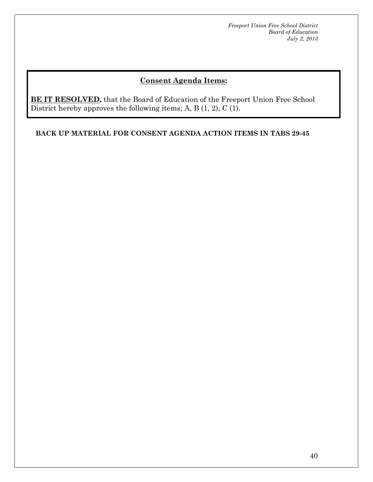### **Consent Agenda Items:**

**BE IT RESOLVED,** that the Board of Education of the Freeport Union Free School District hereby approves the following items; A, B (1, 2), C (1).

**BACK UP MATERIAL FOR CONSENT AGENDA ACTION ITEMS IN TABS 29-45**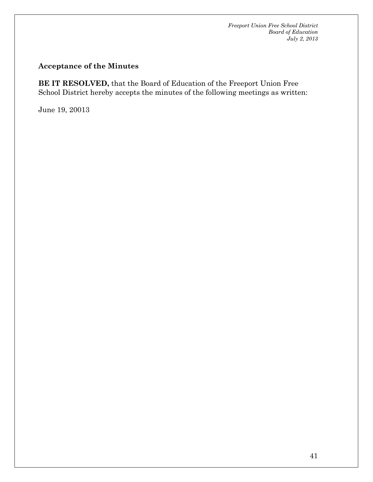### **Acceptance of the Minutes**

**BE IT RESOLVED,** that the Board of Education of the Freeport Union Free School District hereby accepts the minutes of the following meetings as written:

June 19, 20013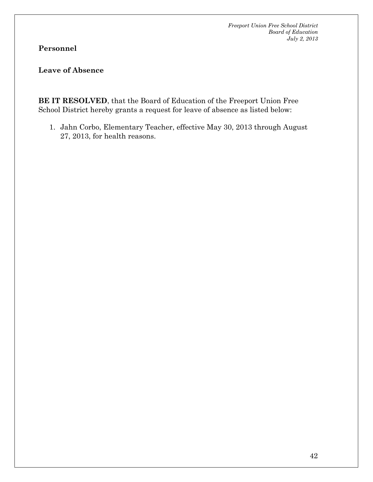**Personnel** 

**Leave of Absence** 

**BE IT RESOLVED**, that the Board of Education of the Freeport Union Free School District hereby grants a request for leave of absence as listed below:

1. Jahn Corbo, Elementary Teacher, effective May 30, 2013 through August 27, 2013, for health reasons.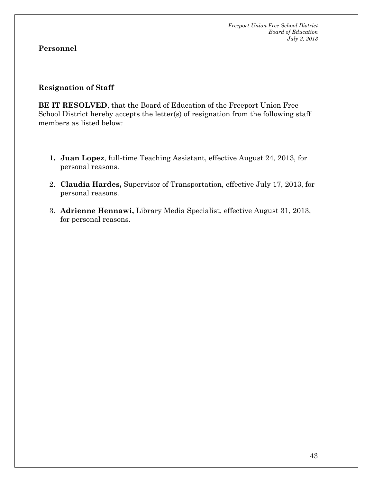### **Personnel**

### **Resignation of Staff**

**BE IT RESOLVED**, that the Board of Education of the Freeport Union Free School District hereby accepts the letter(s) of resignation from the following staff members as listed below:

- **1. Juan Lopez**, full-time Teaching Assistant, effective August 24, 2013, for personal reasons.
- 2. **Claudia Hardes,** Supervisor of Transportation, effective July 17, 2013, for personal reasons.
- 3. **Adrienne Hennawi,** Library Media Specialist, effective August 31, 2013, for personal reasons.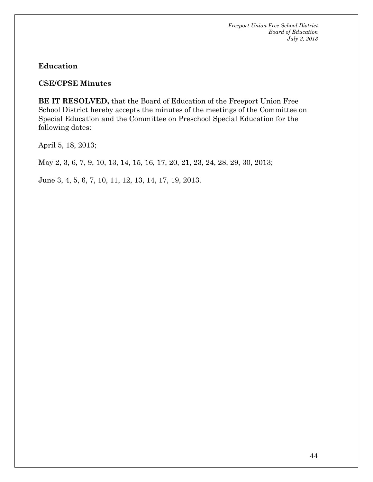**Education** 

**CSE/CPSE Minutes** 

**BE IT RESOLVED,** that the Board of Education of the Freeport Union Free School District hereby accepts the minutes of the meetings of the Committee on Special Education and the Committee on Preschool Special Education for the following dates:

April 5, 18, 2013;

May 2, 3, 6, 7, 9, 10, 13, 14, 15, 16, 17, 20, 21, 23, 24, 28, 29, 30, 2013;

June 3, 4, 5, 6, 7, 10, 11, 12, 13, 14, 17, 19, 2013.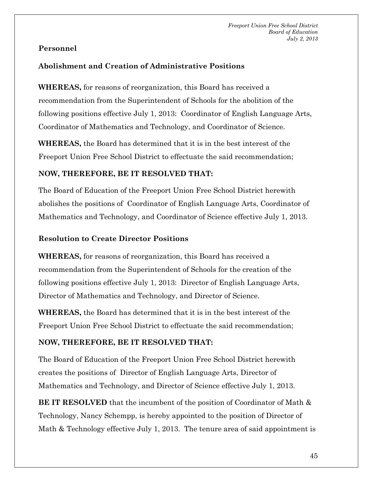### **Personnel**

### **Abolishment and Creation of Administrative Positions**

**WHEREAS,** for reasons of reorganization, this Board has received a recommendation from the Superintendent of Schools for the abolition of the following positions effective July 1, 2013: Coordinator of English Language Arts, Coordinator of Mathematics and Technology, and Coordinator of Science.

**WHEREAS,** the Board has determined that it is in the best interest of the Freeport Union Free School District to effectuate the said recommendation;

### **NOW, THEREFORE, BE IT RESOLVED THAT:**

The Board of Education of the Freeport Union Free School District herewith abolishes the positions ofCoordinator of English Language Arts, Coordinator of Mathematics and Technology, and Coordinator of Science effective July 1, 2013.

### **Resolution to Create Director Positions**

**WHEREAS,** for reasons of reorganization, this Board has received a recommendation from the Superintendent of Schools for the creation of the following positions effective July 1, 2013: Director of English Language Arts, Director of Mathematics and Technology, and Director of Science.

**WHEREAS,** the Board has determined that it is in the best interest of the Freeport Union Free School District to effectuate the said recommendation;

### **NOW, THEREFORE, BE IT RESOLVED THAT:**

The Board of Education of the Freeport Union Free School District herewith creates the positions ofDirector of English Language Arts, Director of Mathematics and Technology, and Director of Science effective July 1, 2013.

**BE IT RESOLVED** that the incumbent of the position of Coordinator of Math & Technology, Nancy Schempp, is hereby appointed to the position of Director of Math & Technology effective July 1, 2013. The tenure area of said appointment is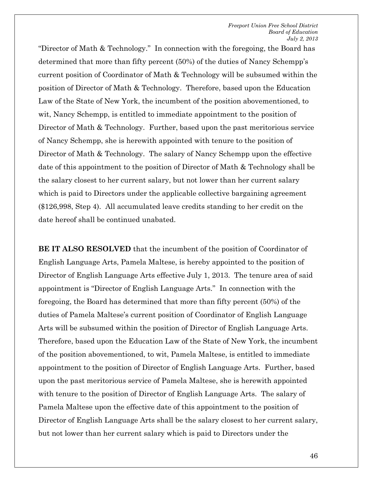"Director of Math & Technology." In connection with the foregoing, the Board has determined that more than fifty percent (50%) of the duties of Nancy Schempp's current position of Coordinator of Math & Technology will be subsumed within the position of Director of Math & Technology. Therefore, based upon the Education Law of the State of New York, the incumbent of the position abovementioned, to wit, Nancy Schempp, is entitled to immediate appointment to the position of Director of Math & Technology. Further, based upon the past meritorious service of Nancy Schempp, she is herewith appointed with tenure to the position of Director of Math & Technology. The salary of Nancy Schempp upon the effective date of this appointment to the position of Director of Math & Technology shall be the salary closest to her current salary, but not lower than her current salary which is paid to Directors under the applicable collective bargaining agreement (\$126,998, Step 4). All accumulated leave credits standing to her credit on the date hereof shall be continued unabated.

**BE IT ALSO RESOLVED** that the incumbent of the position of Coordinator of English Language Arts, Pamela Maltese, is hereby appointed to the position of Director of English Language Arts effective July 1, 2013. The tenure area of said appointment is "Director of English Language Arts." In connection with the foregoing, the Board has determined that more than fifty percent (50%) of the duties of Pamela Maltese's current position of Coordinator of English Language Arts will be subsumed within the position of Director of English Language Arts. Therefore, based upon the Education Law of the State of New York, the incumbent of the position abovementioned, to wit, Pamela Maltese, is entitled to immediate appointment to the position of Director of English Language Arts. Further, based upon the past meritorious service of Pamela Maltese, she is herewith appointed with tenure to the position of Director of English Language Arts. The salary of Pamela Maltese upon the effective date of this appointment to the position of Director of English Language Arts shall be the salary closest to her current salary, but not lower than her current salary which is paid to Directors under the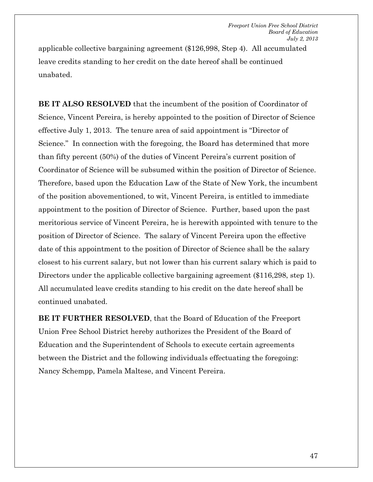applicable collective bargaining agreement (\$126,998, Step 4). All accumulated leave credits standing to her credit on the date hereof shall be continued unabated.

**BE IT ALSO RESOLVED** that the incumbent of the position of Coordinator of Science, Vincent Pereira, is hereby appointed to the position of Director of Science effective July 1, 2013. The tenure area of said appointment is "Director of Science." In connection with the foregoing, the Board has determined that more than fifty percent (50%) of the duties of Vincent Pereira's current position of Coordinator of Science will be subsumed within the position of Director of Science. Therefore, based upon the Education Law of the State of New York, the incumbent of the position abovementioned, to wit, Vincent Pereira, is entitled to immediate appointment to the position of Director of Science. Further, based upon the past meritorious service of Vincent Pereira, he is herewith appointed with tenure to the position of Director of Science. The salary of Vincent Pereira upon the effective date of this appointment to the position of Director of Science shall be the salary closest to his current salary, but not lower than his current salary which is paid to Directors under the applicable collective bargaining agreement (\$116,298, step 1). All accumulated leave credits standing to his credit on the date hereof shall be continued unabated.

**BE IT FURTHER RESOLVED**, that the Board of Education of the Freeport Union Free School District hereby authorizes the President of the Board of Education and the Superintendent of Schools to execute certain agreements between the District and the following individuals effectuating the foregoing: Nancy Schempp, Pamela Maltese, and Vincent Pereira.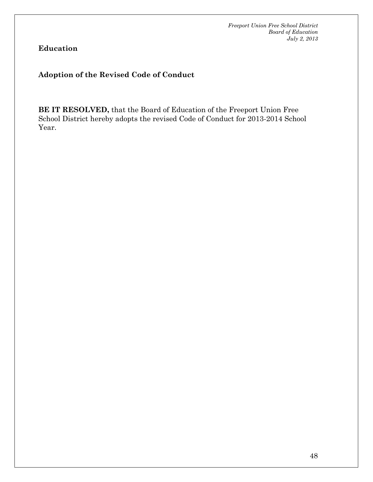**Education** 

### **Adoption of the Revised Code of Conduct**

**BE IT RESOLVED,** that the Board of Education of the Freeport Union Free School District hereby adopts the revised Code of Conduct for 2013-2014 School Year.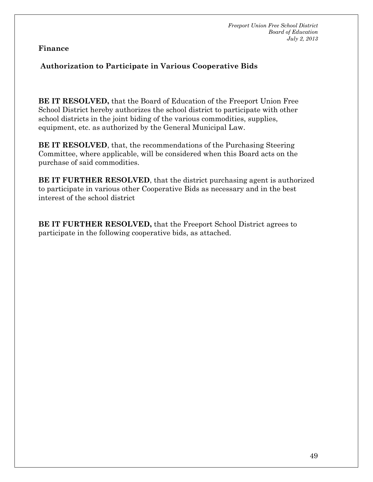### **Finance**

### **Authorization to Participate in Various Cooperative Bids**

**BE IT RESOLVED,** that the Board of Education of the Freeport Union Free School District hereby authorizes the school district to participate with other school districts in the joint biding of the various commodities, supplies, equipment, etc. as authorized by the General Municipal Law.

**BE IT RESOLVED**, that, the recommendations of the Purchasing Steering Committee, where applicable, will be considered when this Board acts on the purchase of said commodities.

**BE IT FURTHER RESOLVED**, that the district purchasing agent is authorized to participate in various other Cooperative Bids as necessary and in the best interest of the school district

**BE IT FURTHER RESOLVED,** that the Freeport School District agrees to participate in the following cooperative bids, as attached.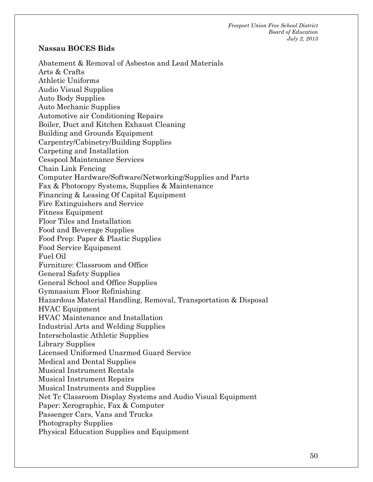### **Nassau BOCES Bids**

Abatement & Removal of Asbestos and Lead Materials Arts & Crafts Athletic Uniforms Audio Visual Supplies Auto Body Supplies Auto Mechanic Supplies Automotive air Conditioning Repairs Boiler, Duct and Kitchen Exhaust Cleaning Building and Grounds Equipment Carpentry/Cabinetry/Building Supplies Carpeting and Installation Cesspool Maintenance Services Chain Link Fencing Computer Hardware/Software/Networking/Supplies and Parts Fax & Photocopy Systems, Supplies & Maintenance Financing & Leasing Of Capital Equipment Fire Extinguishers and Service Fitness Equipment Floor Tiles and Installation Food and Beverage Supplies Food Prep: Paper & Plastic Supplies Food Service Equipment Fuel Oil Furniture: Classroom and Office General Safety Supplies General School and Office Supplies Gymnasium Floor Refinishing Hazardous Material Handling, Removal, Transportation & Disposal HVAC Equipment HVAC Maintenance and Installation Industrial Arts and Welding Supplies Interscholastic Athletic Supplies Library Supplies Licensed Uniformed Unarmed Guard Service Medical and Dental Supplies Musical Instrument Rentals Musical Instrument Repairs Musical Instruments and Supplies Net Tc Classroom Display Systems and Audio Visual Equipment Paper: Xerographic, Fax & Computer Passenger Cars, Vans and Trucks Photography Supplies Physical Education Supplies and Equipment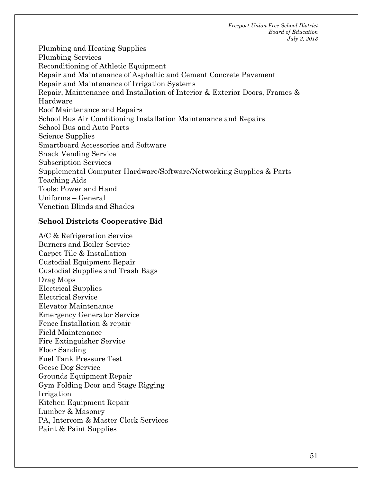Plumbing and Heating Supplies Plumbing Services Reconditioning of Athletic Equipment Repair and Maintenance of Asphaltic and Cement Concrete Pavement Repair and Maintenance of Irrigation Systems Repair, Maintenance and Installation of Interior & Exterior Doors, Frames & Hardware Roof Maintenance and Repairs School Bus Air Conditioning Installation Maintenance and Repairs School Bus and Auto Parts Science Supplies Smartboard Accessories and Software Snack Vending Service Subscription Services Supplemental Computer Hardware/Software/Networking Supplies & Parts Teaching Aids Tools: Power and Hand Uniforms – General Venetian Blinds and Shades

### **School Districts Cooperative Bid**

A/C & Refrigeration Service Burners and Boiler Service Carpet Tile & Installation Custodial Equipment Repair Custodial Supplies and Trash Bags Drag Mops Electrical Supplies Electrical Service Elevator Maintenance Emergency Generator Service Fence Installation & repair Field Maintenance Fire Extinguisher Service Floor Sanding Fuel Tank Pressure Test Geese Dog Service Grounds Equipment Repair Gym Folding Door and Stage Rigging Irrigation Kitchen Equipment Repair Lumber & Masonry PA, Intercom & Master Clock Services Paint & Paint Supplies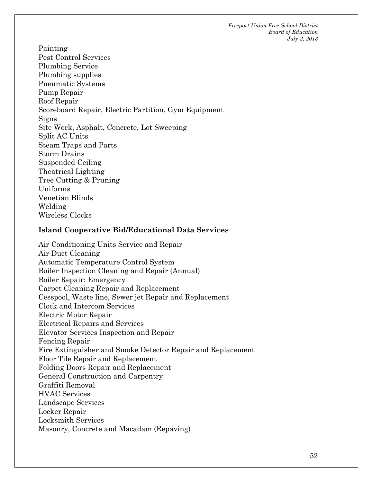Painting Pest Control Services Plumbing Service Plumbing supplies Pneumatic Systems Pump Repair Roof Repair Scoreboard Repair, Electric Partition, Gym Equipment Signs Site Work, Asphalt, Concrete, Lot Sweeping Split AC Units Steam Traps and Parts Storm Drains Suspended Ceiling Theatrical Lighting Tree Cutting & Pruning Uniforms Venetian Blinds Welding Wireless Clocks

### **Island Cooperative Bid/Educational Data Services**

Air Conditioning Units Service and Repair Air Duct Cleaning Automatic Temperature Control System Boiler Inspection Cleaning and Repair (Annual) Boiler Repair: Emergency Carpet Cleaning Repair and Replacement Cesspool, Waste line, Sewer jet Repair and Replacement Clock and Intercom Services Electric Motor Repair Electrical Repairs and Services Elevator Services Inspection and Repair Fencing Repair Fire Extinguisher and Smoke Detector Repair and Replacement Floor Tile Repair and Replacement Folding Doors Repair and Replacement General Construction and Carpentry Graffiti Removal HVAC Services Landscape Services Locker Repair Locksmith Services Masonry, Concrete and Macadam (Repaving)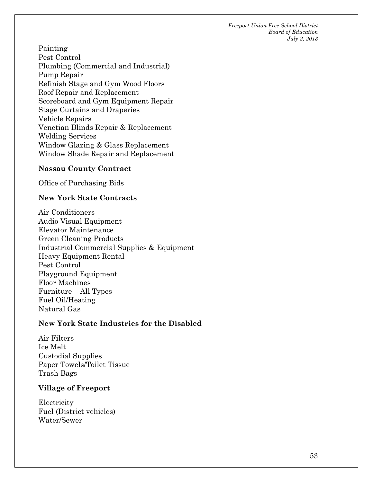Painting Pest Control Plumbing (Commercial and Industrial) Pump Repair Refinish Stage and Gym Wood Floors Roof Repair and Replacement Scoreboard and Gym Equipment Repair Stage Curtains and Draperies Vehicle Repairs Venetian Blinds Repair & Replacement Welding Services Window Glazing & Glass Replacement Window Shade Repair and Replacement

### **Nassau County Contract**

Office of Purchasing Bids

### **New York State Contracts**

Air Conditioners Audio Visual Equipment Elevator Maintenance Green Cleaning Products Industrial Commercial Supplies & Equipment Heavy Equipment Rental Pest Control Playground Equipment Floor Machines Furniture – All Types Fuel Oil/Heating Natural Gas

### **New York State Industries for the Disabled**

Air Filters Ice Melt Custodial Supplies Paper Towels/Toilet Tissue Trash Bags

### **Village of Freeport**

**Electricity** Fuel (District vehicles) Water/Sewer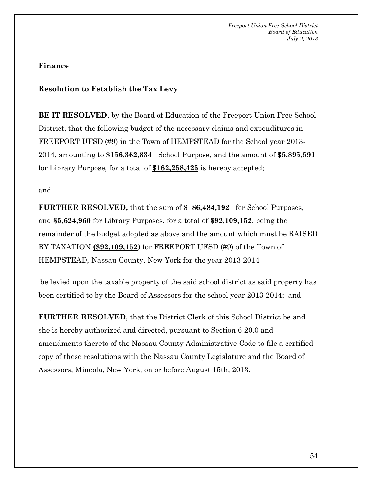### **Finance**

### **Resolution to Establish the Tax Levy**

**BE IT RESOLVED**, by the Board of Education of the Freeport Union Free School District, that the following budget of the necessary claims and expenditures in FREEPORT UFSD (#9) in the Town of HEMPSTEAD for the School year 2013-2014, amounting to **\$156,362,834** School Purpose, and the amount of **\$5,895,591** for Library Purpose, for a total of **\$162,258,425** is hereby accepted;

### and

**FURTHER RESOLVED,** that the sum of **\$ 86,484,192** for School Purposes, and **\$5,624,960** for Library Purposes, for a total of **\$92,109,152**, being the remainder of the budget adopted as above and the amount which must be RAISED BY TAXATION **(\$92,109,152)** for FREEPORT UFSD (#9) of the Town of HEMPSTEAD, Nassau County, New York for the year 2013-2014

 be levied upon the taxable property of the said school district as said property has been certified to by the Board of Assessors for the school year 2013-2014; and

**FURTHER RESOLVED**, that the District Clerk of this School District be and she is hereby authorized and directed, pursuant to Section 6-20.0 and amendments thereto of the Nassau County Administrative Code to file a certified copy of these resolutions with the Nassau County Legislature and the Board of Assessors, Mineola, New York, on or before August 15th, 2013.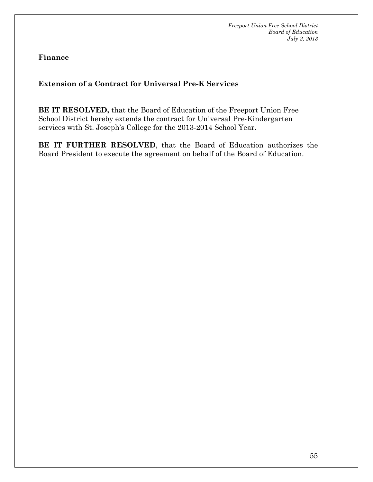**Finance** 

### **Extension of a Contract for Universal Pre-K Services**

**BE IT RESOLVED,** that the Board of Education of the Freeport Union Free School District hereby extends the contract for Universal Pre-Kindergarten services with St. Joseph's College for the 2013-2014 School Year.

**BE IT FURTHER RESOLVED**, that the Board of Education authorizes the Board President to execute the agreement on behalf of the Board of Education.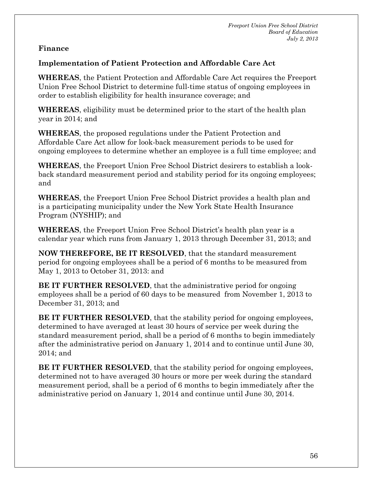### **Finance**

### **Implementation of Patient Protection and Affordable Care Act**

**WHEREAS**, the Patient Protection and Affordable Care Act requires the Freeport Union Free School District to determine full-time status of ongoing employees in order to establish eligibility for health insurance coverage; and

**WHEREAS**, eligibility must be determined prior to the start of the health plan year in 2014; and

**WHEREAS**, the proposed regulations under the Patient Protection and Affordable Care Act allow for look-back measurement periods to be used for ongoing employees to determine whether an employee is a full time employee; and

**WHEREAS**, the Freeport Union Free School District desirers to establish a lookback standard measurement period and stability period for its ongoing employees; and

**WHEREAS**, the Freeport Union Free School District provides a health plan and is a participating municipality under the New York State Health Insurance Program (NYSHIP); and

**WHEREAS**, the Freeport Union Free School District's health plan year is a calendar year which runs from January 1, 2013 through December 31, 2013; and

**NOW THEREFORE, BE IT RESOLVED**, that the standard measurement period for ongoing employees shall be a period of 6 months to be measured from May 1, 2013 to October 31, 2013: and

**BE IT FURTHER RESOLVED**, that the administrative period for ongoing employees shall be a period of 60 days to be measured from November 1, 2013 to December 31, 2013; and

**BE IT FURTHER RESOLVED**, that the stability period for ongoing employees, determined to have averaged at least 30 hours of service per week during the standard measurement period, shall be a period of 6 months to begin immediately after the administrative period on January 1, 2014 and to continue until June 30, 2014; and

**BE IT FURTHER RESOLVED**, that the stability period for ongoing employees, determined not to have averaged 30 hours or more per week during the standard measurement period, shall be a period of 6 months to begin immediately after the administrative period on January 1, 2014 and continue until June 30, 2014.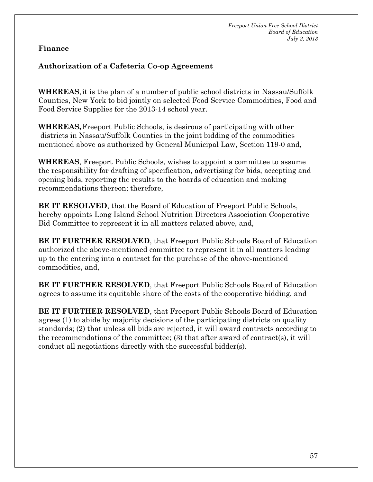### **Finance**

### **Authorization of a Cafeteria Co-op Agreement**

**WHEREAS**, it is the plan of a number of public school districts in Nassau/Suffolk Counties, New York to bid jointly on selected Food Service Commodities, Food and Food Service Supplies for the 2013-14 school year.

**WHEREAS,** Freeport Public Schools, is desirous of participating with other districts in Nassau/Suffolk Counties in the joint bidding of the commodities mentioned above as authorized by General Municipal Law, Section 119-0 and,

**WHEREAS**, Freeport Public Schools, wishes to appoint a committee to assume the responsibility for drafting of specification, advertising for bids, accepting and opening bids, reporting the results to the boards of education and making recommendations thereon; therefore,

**BE IT RESOLVED**, that the Board of Education of Freeport Public Schools, hereby appoints Long Island School Nutrition Directors Association Cooperative Bid Committee to represent it in all matters related above, and,

**BE IT FURTHER RESOLVED**, that Freeport Public Schools Board of Education authorized the above-mentioned committee to represent it in all matters leading up to the entering into a contract for the purchase of the above-mentioned commodities, and,

**BE IT FURTHER RESOLVED**, that Freeport Public Schools Board of Education agrees to assume its equitable share of the costs of the cooperative bidding, and

**BE IT FURTHER RESOLVED**, that Freeport Public Schools Board of Education agrees (1) to abide by majority decisions of the participating districts on quality standards; (2) that unless all bids are rejected, it will award contracts according to the recommendations of the committee; (3) that after award of contract(s), it will conduct all negotiations directly with the successful bidder(s).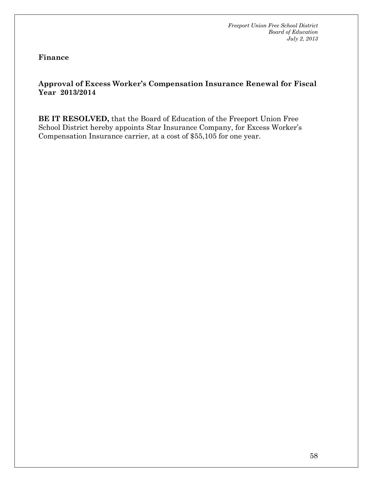**Finance** 

### **Approval of Excess Worker's Compensation Insurance Renewal for Fiscal Year 2013/2014**

**BE IT RESOLVED,** that the Board of Education of the Freeport Union Free School District hereby appoints Star Insurance Company, for Excess Worker's Compensation Insurance carrier, at a cost of \$55,105 for one year.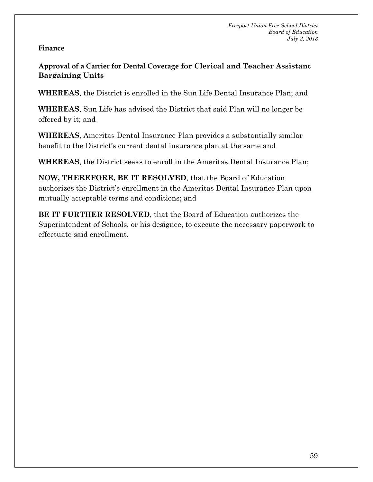### **Finance**

**Approval of a Carrier for Dental Coverage for Clerical and Teacher Assistant Bargaining Units**

**WHEREAS**, the District is enrolled in the Sun Life Dental Insurance Plan; and

**WHEREAS**, Sun Life has advised the District that said Plan will no longer be offered by it; and

**WHEREAS**, Ameritas Dental Insurance Plan provides a substantially similar benefit to the District's current dental insurance plan at the same and

**WHEREAS**, the District seeks to enroll in the Ameritas Dental Insurance Plan;

**NOW, THEREFORE, BE IT RESOLVED**, that the Board of Education authorizes the District's enrollment in the Ameritas Dental Insurance Plan upon mutually acceptable terms and conditions; and

**BE IT FURTHER RESOLVED**, that the Board of Education authorizes the Superintendent of Schools, or his designee, to execute the necessary paperwork to effectuate said enrollment.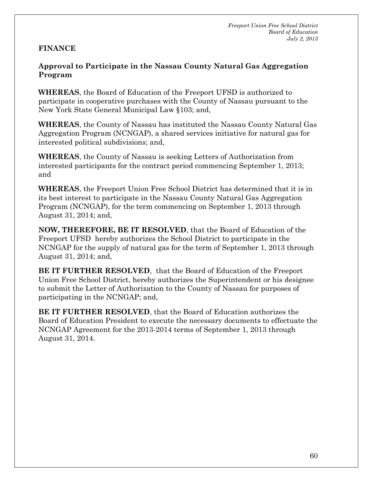### **FINANCE**

**Approval to Participate in the Nassau County Natural Gas Aggregation Program** 

**WHEREAS**, the Board of Education of the Freeport UFSD is authorized to participate in cooperative purchases with the County of Nassau pursuant to the New York State General Municipal Law §103; and,

**WHEREAS**, the County of Nassau has instituted the Nassau County Natural Gas Aggregation Program (NCNGAP), a shared services initiative for natural gas for interested political subdivisions; and,

**WHEREAS**, the County of Nassau is seeking Letters of Authorization from interested participants for the contract period commencing September 1, 2013; and

**WHEREAS**, the Freeport Union Free School District has determined that it is in its best interest to participate in the Nassau County Natural Gas Aggregation Program (NCNGAP), for the term commencing on September 1, 2013 through August 31, 2014; and,

**NOW, THEREFORE, BE IT RESOLVED**, that the Board of Education of the Freeport UFSD hereby authorizes the School District to participate in the NCNGAP for the supply of natural gas for the term of September 1, 2013 through August 31, 2014; and,

**BE IT FURTHER RESOLVED**, that the Board of Education of the Freeport Union Free School District, hereby authorizes the Superintendent or his designee to submit the Letter of Authorization to the County of Nassau for purposes of participating in the NCNGAP; and,

**BE IT FURTHER RESOLVED**, that the Board of Education authorizes the Board of Education President to execute the necessary documents to effectuate the NCNGAP Agreement for the 2013-2014 terms of September 1, 2013 through August 31, 2014.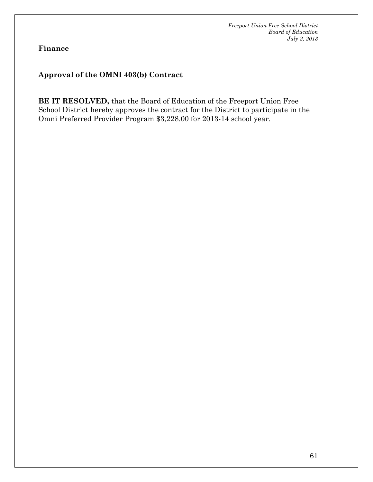**Finance** 

### **Approval of the OMNI 403(b) Contract**

**BE IT RESOLVED,** that the Board of Education of the Freeport Union Free School District hereby approves the contract for the District to participate in the Omni Preferred Provider Program \$3,228.00 for 2013-14 school year.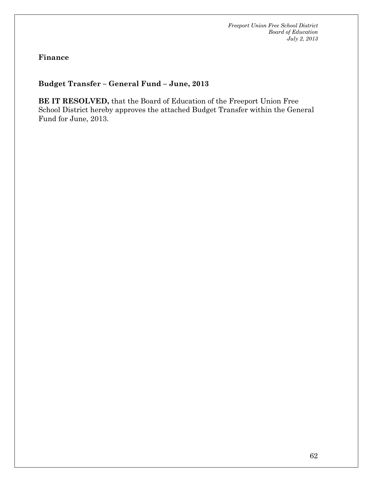**Finance** 

### **Budget Transfer – General Fund – June, 2013**

**BE IT RESOLVED,** that the Board of Education of the Freeport Union Free School District hereby approves the attached Budget Transfer within the General Fund for June, 2013.